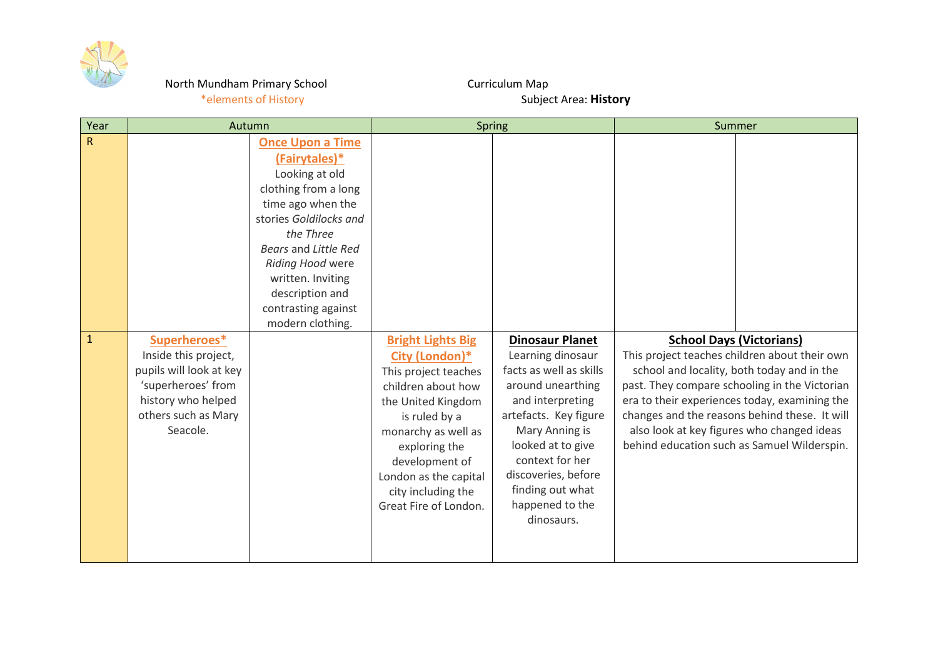

## North Mundham Primary School **Curriculum Map**

## \*elements of History **Subject Area: History** Subject Area: **History**

| Year         | Autumn                  |                         | <b>Spring</b>            |                         | Summer                                        |
|--------------|-------------------------|-------------------------|--------------------------|-------------------------|-----------------------------------------------|
| ${\sf R}$    |                         | <b>Once Upon a Time</b> |                          |                         |                                               |
|              |                         | (Fairytales)*           |                          |                         |                                               |
|              |                         | Looking at old          |                          |                         |                                               |
|              |                         | clothing from a long    |                          |                         |                                               |
|              |                         | time ago when the       |                          |                         |                                               |
|              |                         | stories Goldilocks and  |                          |                         |                                               |
|              |                         | the Three               |                          |                         |                                               |
|              |                         | Bears and Little Red    |                          |                         |                                               |
|              |                         | Riding Hood were        |                          |                         |                                               |
|              |                         | written. Inviting       |                          |                         |                                               |
|              |                         | description and         |                          |                         |                                               |
|              |                         | contrasting against     |                          |                         |                                               |
|              |                         | modern clothing.        |                          |                         |                                               |
| $\mathbf{1}$ | Superheroes*            |                         | <b>Bright Lights Big</b> | <b>Dinosaur Planet</b>  | <b>School Days (Victorians)</b>               |
|              | Inside this project,    |                         | City (London)*           | Learning dinosaur       | This project teaches children about their own |
|              | pupils will look at key |                         | This project teaches     | facts as well as skills | school and locality, both today and in the    |
|              | 'superheroes' from      |                         | children about how       | around unearthing       | past. They compare schooling in the Victorian |
|              | history who helped      |                         | the United Kingdom       | and interpreting        | era to their experiences today, examining the |
|              | others such as Mary     |                         | is ruled by a            | artefacts. Key figure   | changes and the reasons behind these. It will |
|              | Seacole.                |                         | monarchy as well as      | Mary Anning is          | also look at key figures who changed ideas    |
|              |                         |                         | exploring the            | looked at to give       | behind education such as Samuel Wilderspin.   |
|              |                         |                         | development of           | context for her         |                                               |
|              |                         |                         | London as the capital    | discoveries, before     |                                               |
|              |                         |                         | city including the       | finding out what        |                                               |
|              |                         |                         | Great Fire of London.    | happened to the         |                                               |
|              |                         |                         |                          | dinosaurs.              |                                               |
|              |                         |                         |                          |                         |                                               |
|              |                         |                         |                          |                         |                                               |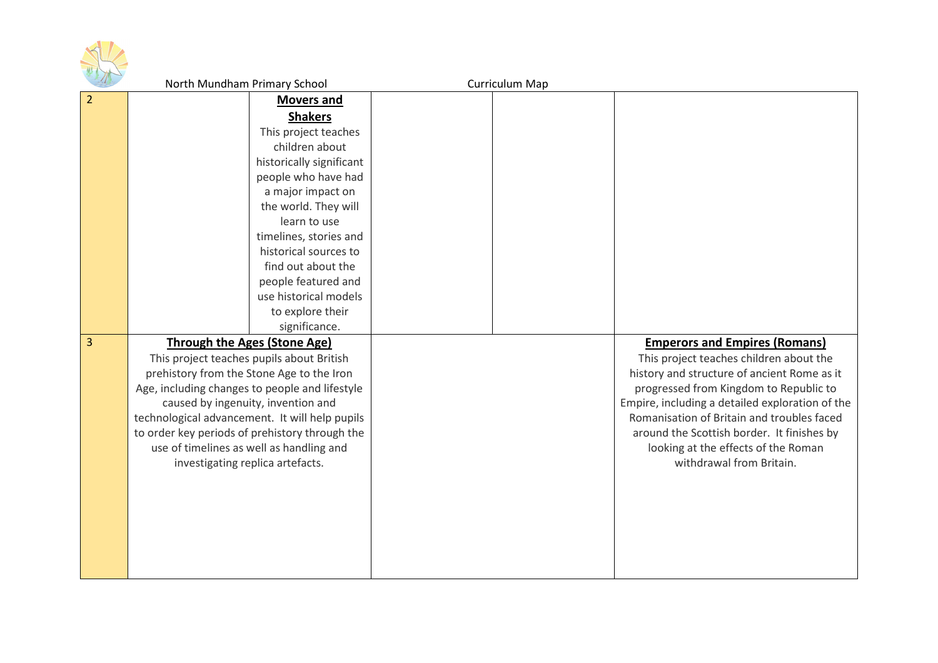

|                | North Mundham Primary School                   | Curriculum Map |                                                 |
|----------------|------------------------------------------------|----------------|-------------------------------------------------|
| 2              | <b>Movers and</b>                              |                |                                                 |
|                | <b>Shakers</b>                                 |                |                                                 |
|                | This project teaches                           |                |                                                 |
|                | children about                                 |                |                                                 |
|                | historically significant                       |                |                                                 |
|                | people who have had                            |                |                                                 |
|                | a major impact on                              |                |                                                 |
|                | the world. They will                           |                |                                                 |
|                | learn to use                                   |                |                                                 |
|                | timelines, stories and                         |                |                                                 |
|                | historical sources to                          |                |                                                 |
|                | find out about the                             |                |                                                 |
|                | people featured and                            |                |                                                 |
|                | use historical models                          |                |                                                 |
|                | to explore their                               |                |                                                 |
|                | significance.                                  |                |                                                 |
| $\overline{3}$ | <b>Through the Ages (Stone Age)</b>            |                | <b>Emperors and Empires (Romans)</b>            |
|                | This project teaches pupils about British      |                | This project teaches children about the         |
|                | prehistory from the Stone Age to the Iron      |                | history and structure of ancient Rome as it     |
|                | Age, including changes to people and lifestyle |                | progressed from Kingdom to Republic to          |
|                | caused by ingenuity, invention and             |                | Empire, including a detailed exploration of the |
|                | technological advancement. It will help pupils |                | Romanisation of Britain and troubles faced      |
|                | to order key periods of prehistory through the |                | around the Scottish border. It finishes by      |
|                | use of timelines as well as handling and       |                | looking at the effects of the Roman             |
|                | investigating replica artefacts.               |                | withdrawal from Britain.                        |
|                |                                                |                |                                                 |
|                |                                                |                |                                                 |
|                |                                                |                |                                                 |
|                |                                                |                |                                                 |
|                |                                                |                |                                                 |
|                |                                                |                |                                                 |
|                |                                                |                |                                                 |